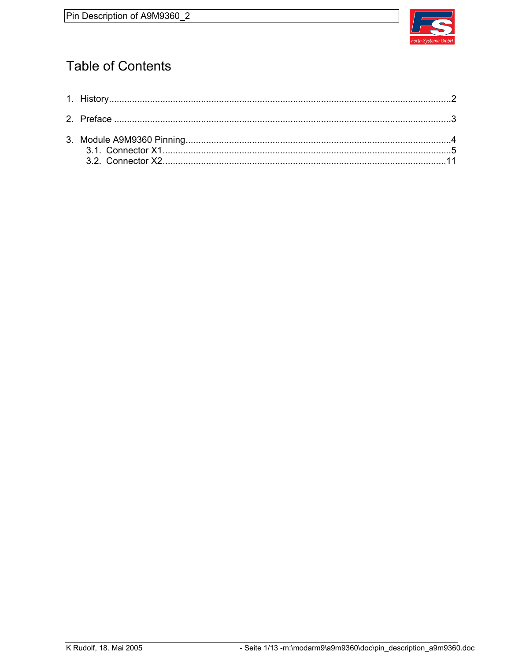

# **Table of Contents**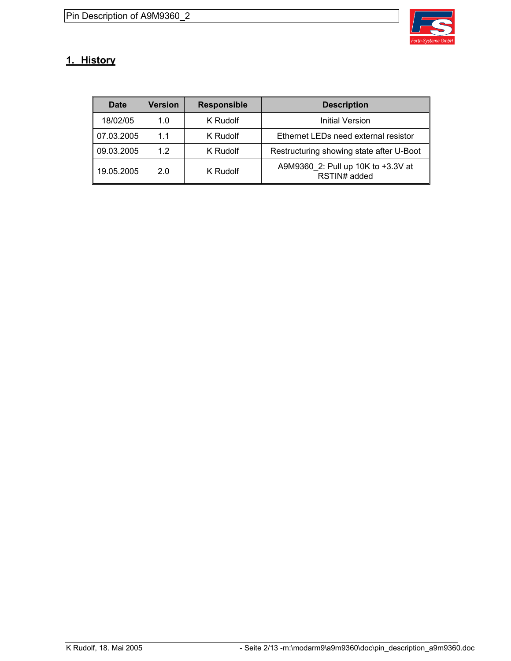

## **1. History**

| <b>Date</b> | <b>Version</b> | <b>Responsible</b> | <b>Description</b>                                 |
|-------------|----------------|--------------------|----------------------------------------------------|
| 18/02/05    | 1.0            | K Rudolf           | Initial Version                                    |
| 07.03.2005  | 11             | K Rudolf           | Ethernet LEDs need external resistor               |
| 09.03.2005  | 12             | K Rudolf           | Restructuring showing state after U-Boot           |
| 19.05.2005  | 2.0            | K Rudolf           | A9M9360_2: Pull up 10K to +3.3V at<br>RSTIN# added |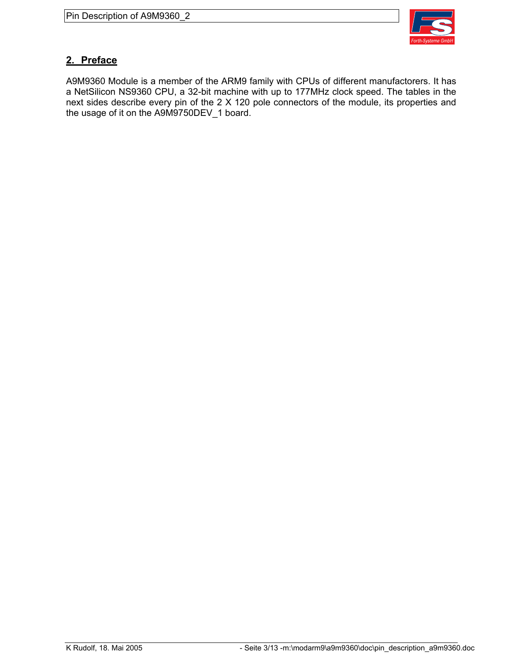

#### **2. Preface**

A9M9360 Module is a member of the ARM9 family with CPUs of different manufactorers. It has a NetSilicon NS9360 CPU, a 32-bit machine with up to 177MHz clock speed. The tables in the next sides describe every pin of the 2 X 120 pole connectors of the module, its properties and the usage of it on the A9M9750DEV\_1 board.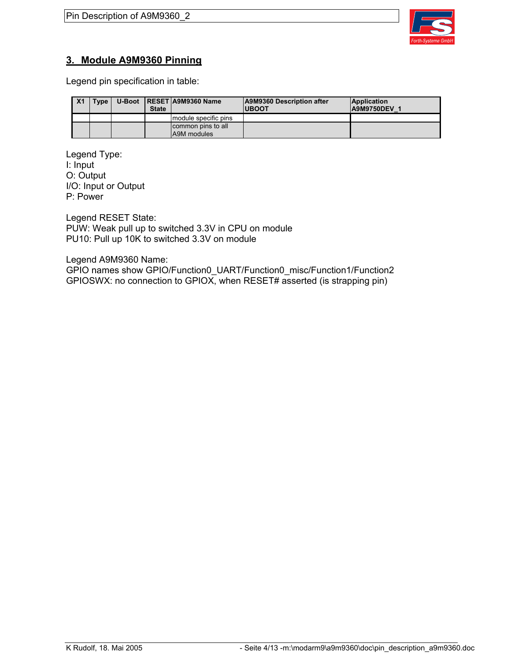

#### **3. Module A9M9360 Pinning**

Legend pin specification in table:

| X <sub>1</sub> | Type, | <b>State</b> | U-Boot   RESET   A9M9360 Name     | A9M9360 Description after<br><b>IUBOOT</b> | <b>Application</b><br><b>A9M9750DEV 1</b> |
|----------------|-------|--------------|-----------------------------------|--------------------------------------------|-------------------------------------------|
|                |       |              | module specific pins              |                                            |                                           |
|                |       |              | common pins to all<br>A9M modules |                                            |                                           |

Legend Type: I: Input O: Output I/O: Input or Output P: Power

Legend RESET State: PUW: Weak pull up to switched 3.3V in CPU on module PU10: Pull up 10K to switched 3.3V on module

Legend A9M9360 Name:

GPIO names show GPIO/Function0\_UART/Function0\_misc/Function1/Function2 GPIOSWX: no connection to GPIOX, when RESET# asserted (is strapping pin)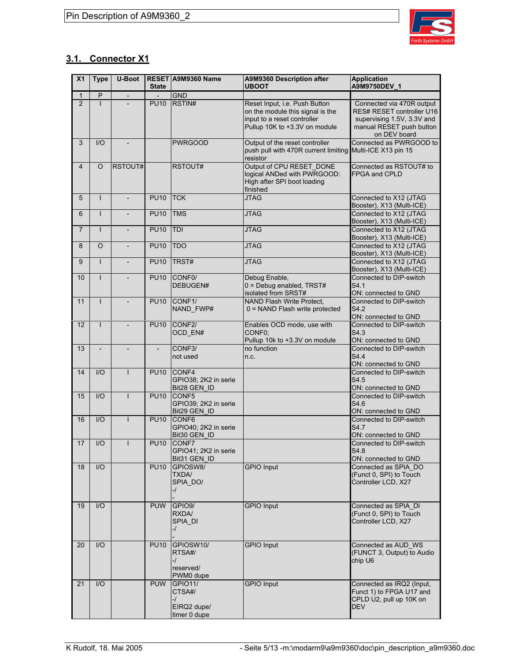

### **3.1. Connector X1**

| X <sub>1</sub> | <b>Type</b>    | U-Boot                   | <b>State</b> | <b>RESET A9M9360 Name</b>                                     | A9M9360 Description after<br><b>UBOOT</b>                                                                                         | <b>Application</b><br>A9M9750DEV 1                                                                                               |
|----------------|----------------|--------------------------|--------------|---------------------------------------------------------------|-----------------------------------------------------------------------------------------------------------------------------------|----------------------------------------------------------------------------------------------------------------------------------|
| $\mathbf{1}$   | P              | $\overline{\phantom{a}}$ |              | <b>GND</b>                                                    |                                                                                                                                   |                                                                                                                                  |
| $\overline{2}$ | L              |                          | <b>PU10</b>  | RSTIN#                                                        | Reset Input, i.e. Push Button<br>on the module this signal is the<br>input to a reset controller<br>Pullup 10K to +3.3V on module | Connected via 470R output<br>RES# RESET controller U16<br>supervising 1.5V, 3.3V and<br>manual RESET push button<br>on DEV board |
| 3              | $II$           |                          |              | <b>PWRGOOD</b>                                                | Output of the reset controller<br>push pull with 470R current limiting Multi-ICE X13 pin 15<br>resistor                           | Connected as PWRGOOD to                                                                                                          |
| $\overline{4}$ | O              | RSTOUT#                  |              | RSTOUT#                                                       | Output of CPU RESET_DONE<br>logical ANDed with PWRGOOD:<br>High after SPI boot loading<br>finished                                | Connected as RSTOUT# to<br><b>FPGA and CPLD</b>                                                                                  |
| 5              | $\mathsf{I}$   |                          | <b>PU10</b>  | <b>TCK</b>                                                    | <b>JTAG</b>                                                                                                                       | Connected to X12 (JTAG<br>Booster), X13 (Multi-ICE)                                                                              |
| 6              | L              |                          | <b>PU10</b>  | <b>TMS</b>                                                    | JTAG                                                                                                                              | Connected to X12 (JTAG<br>Booster), X13 (Multi-ICE)                                                                              |
| $\overline{7}$ | T              |                          | <b>PU10</b>  | TDI                                                           | <b>JTAG</b>                                                                                                                       | Connected to X12 (JTAG<br>Booster), X13 (Multi-ICE)                                                                              |
| 8              | O              | $\blacksquare$           | <b>PU10</b>  | <b>TDO</b>                                                    | <b>JTAG</b>                                                                                                                       | Connected to X12 (JTAG<br>Booster), X13 (Multi-ICE)                                                                              |
| 9              | $\mathbf{I}$   |                          | <b>PU10</b>  | TRST#                                                         | <b>JTAG</b>                                                                                                                       | Connected to X12 (JTAG<br>Booster), X13 (Multi-ICE)                                                                              |
| 10             | $\mathsf{I}$   |                          | <b>PU10</b>  | CONF <sub>0</sub><br>DEBUGEN#                                 | Debug Enable,<br>$0 =$ Debug enabled, TRST#<br>isolated from SRST#                                                                | Connected to DIP-switch<br>S4.1<br>ON: connected to GND                                                                          |
| 11             | $\mathsf{I}$   |                          | <b>PU10</b>  | CONF <sub>1</sub> /<br>NAND_FWP#                              | NAND Flash Write Protect,<br>0 = NAND Flash write protected                                                                       | Connected to DIP-switch<br>S4.2<br>ON: connected to GND                                                                          |
| 12             | $\mathbf{I}$   |                          | <b>PU10</b>  | CONF2/<br>OCD_EN#                                             | Enables OCD mode, use with<br>CONF0:<br>Pullup 10k to +3.3V on module                                                             | Connected to DIP-switch<br>S4.3<br>ON: connected to GND                                                                          |
| 13             | $\overline{a}$ |                          |              | CONF3/<br>not used                                            | no function<br>n.c.                                                                                                               | Connected to DIP-switch<br>S4.4<br>ON: connected to GND                                                                          |
| 14             | $U$            |                          | <b>PU10</b>  | CONF4<br>GPIO38; 2K2 in serie<br>Bit28 GEN ID                 |                                                                                                                                   | Connected to DIP-switch<br>S4.5<br>ON: connected to GND                                                                          |
| 15             | I/O            | $\mathbf{I}$             | <b>PU10</b>  | CONF <sub>5</sub><br>GPIO39; 2K2 in serie<br>Bit29 GEN_ID     |                                                                                                                                   | Connected to DIP-switch<br>S4.6<br>ON: connected to GND                                                                          |
| 16             | $U$            |                          | <b>PU10</b>  | CONF <sub>6</sub><br>GPIO40; 2K2 in serie<br>Bit30 GEN ID     |                                                                                                                                   | Connected to DIP-switch<br>S4.7<br>ON: connected to GND                                                                          |
| 17             | I/O            |                          | <b>PU10</b>  | <b>CONF7</b><br>GPIO41; 2K2 in serie<br>Bit31 GEN ID          |                                                                                                                                   | Connected to DIP-switch<br>S4.8<br>ON: connected to GND                                                                          |
| 18             | 1/O            |                          | <b>PU10</b>  | GPIOSW8/<br><b>TXDA/</b><br>SPIA DO/<br>-/                    | <b>GPIO Input</b>                                                                                                                 | Connected as SPIA DO<br>(Funct 0, SPI) to Touch<br>Controller LCD, X27                                                           |
| 19             | 1/O            |                          | <b>PUW</b>   | GPIO <sub>9</sub> /<br>RXDA/<br>SPIA_DI<br>-/                 | <b>GPIO Input</b>                                                                                                                 | Connected as SPIA DI<br>(Funct 0, SPI) to Touch<br>Controller LCD, X27                                                           |
| 20             | 1/O            |                          | <b>PU10</b>  | GPIOSW10/<br>RTSA#/<br>$-$ / $\,$<br>reserved/<br>PWM0 dupe   | <b>GPIO Input</b>                                                                                                                 | Connected as AUD WS<br>(FUNCT 3, Output) to Audio<br>chip U6                                                                     |
| 21             | 1/O            |                          | <b>PUW</b>   | <b>GPIO11/</b><br>CTSA#/<br>-/<br>EIRQ2 dupe/<br>timer 0 dupe | <b>GPIO Input</b>                                                                                                                 | Connected as IRQ2 (Input,<br>Funct 1) to FPGA U17 and<br>CPLD U2, pull up 10K on<br><b>DEV</b>                                   |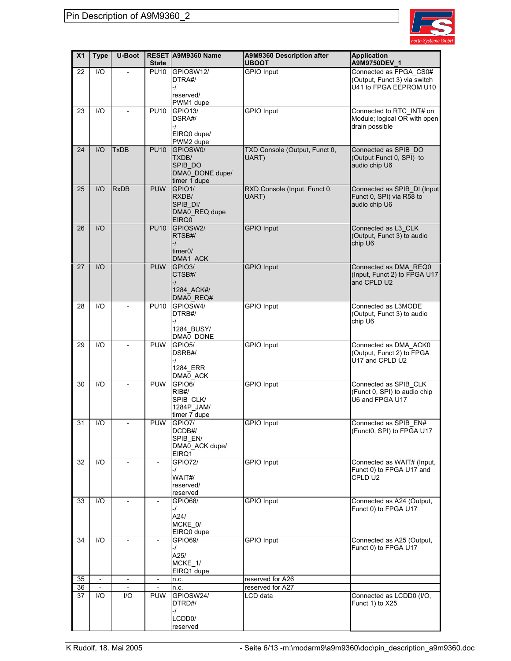

| X <sub>1</sub> | <b>Type</b>              | <b>U-Boot</b>            | <b>State</b>             | RESET A9M9360 Name                                               | A9M9360 Description after<br><b>UBOOT</b> | <b>Application</b><br>A9M9750DEV_1                                               |
|----------------|--------------------------|--------------------------|--------------------------|------------------------------------------------------------------|-------------------------------------------|----------------------------------------------------------------------------------|
| 22             | 1/O                      |                          | <b>PU10</b>              | GPIOSW12/<br>DTRA#/<br>$-I$<br>reserved/<br>PWM1 dupe            | <b>GPIO Input</b>                         | Connected as FPGA_CS0#<br>(Output, Funct 3) via switch<br>U41 to FPGA EEPROM U10 |
| 23             | $\overline{1/O}$         | $\overline{a}$           | <b>PU10</b>              | <b>GPIO13/</b><br>DSRA#/<br>$-I$<br>EIRQ0 dupe/<br>PWM2 dupe     | <b>GPIO</b> Input                         | Connected to RTC_INT# on<br>Module; logical OR with open<br>drain possible       |
| 24             | $II$                     | <b>TxDB</b>              | <b>PU10</b>              | GPIOSW0/<br>TXDB/<br>SPIB DO<br>DMA0_DONE dupe/<br>timer 1 dupe  | TXD Console (Output, Funct 0,<br>UART)    | Connected as SPIB_DO<br>(Output Funct 0, SPI) to<br>audio chip U6                |
| 25             | $II$                     | <b>RxDB</b>              | <b>PUW</b>               | GPIO1/<br>RXDB/<br>SPIB DI/<br>DMA0_REQ dupe<br>EIRQ0            | RXD Console (Input, Funct 0,<br>UART)     | Connected as SPIB_DI (Input<br>Funct 0, SPI) via R58 to<br>audio chip U6         |
| 26             | I/O                      |                          | <b>PU10</b>              | GPIOSW2/<br>RTSB#/<br>$-1$<br>timer <sub>0</sub> /<br>DMA1_ACK   | <b>GPIO Input</b>                         | Connected as L3_CLK<br>(Output, Funct 3) to audio<br>chip U6                     |
| 27             | I/O                      |                          | <b>PUW</b>               | GPIO <sub>3</sub> /<br>CTSB#/<br>$-1$<br>1284_ACK#/<br>DMA0_REQ# | <b>GPIO Input</b>                         | Connected as DMA_REQ0<br>(Input, Funct 2) to FPGA U17<br>and CPLD U2             |
| 28             | 1/O                      |                          | <b>PU10</b>              | GPIOSW4/<br>DTRB#/<br>$-1$<br>1284 BUSY/<br>DMA0_DONE            | <b>GPIO Input</b>                         | Connected as L3MODE<br>(Output, Funct 3) to audio<br>chip U6                     |
| 29             | 1/O                      |                          | <b>PUW</b>               | GPIO <sub>5</sub> /<br>DSRB#/<br>$-1$<br>1284 ERR<br>DMA0 ACK    | <b>GPIO Input</b>                         | Connected as DMA ACK0<br>(Output, Funct 2) to FPGA<br>U17 and CPLD U2            |
| 30             | 1/O                      | $\overline{a}$           | <b>PUW</b>               | GPIO6/<br>RIB#/<br>SPIB CLK/<br>1284P_JAM/<br>timer 7 dupe       | <b>GPIO</b> Input                         | Connected as SPIB CLK<br>(Funct 0, SPI) to audio chip<br>U6 and FPGA U17         |
| 31             | I/O                      |                          | PUW                      | GPIO7/<br>DCDB#/<br>SPIB_EN/<br>DMA0_ACK dupe/<br>EIRQ1          | <b>GPIO Input</b>                         | Connected as SPIB_EN#<br>(Funct0, SPI) to FPGA U17                               |
| 32             | $\overline{1/O}$         | $\overline{a}$           |                          | <b>GPIO72/</b><br>-/<br>WAIT#/<br>reserved/<br>reserved          | <b>GPIO Input</b>                         | Connected as WAIT# (Input,<br>Funct 0) to FPGA U17 and<br>CPLD U2                |
| 33             | 1/O                      |                          |                          | <b>GPIO68/</b><br>$-1$<br>A24/<br>MCKE 0/<br>EIRQ0 dupe          | <b>GPIO Input</b>                         | Connected as A24 (Output,<br>Funct 0) to FPGA U17                                |
| 34             | I/O                      |                          |                          | GPIO69/<br>-/<br>A25/<br>MCKE 1/<br>EIRQ1 dupe                   | <b>GPIO Input</b>                         | Connected as A25 (Output,<br>Funct 0) to FPGA U17                                |
| 35             | $\overline{\phantom{0}}$ | $\overline{\phantom{a}}$ | $\overline{\phantom{a}}$ | n.c.                                                             | reserved for A26                          |                                                                                  |
| 36             | $\overline{\phantom{a}}$ |                          |                          | n.c.                                                             | reserved for A27                          |                                                                                  |
| 37             | I/O                      | I/O                      | <b>PUW</b>               | GPIOSW24/<br>DTRD#/<br>-/<br>LCDD <sub>0</sub> /<br>reserved     | LCD data                                  | Connected as LCDD0 (I/O,<br>Funct 1) to X25                                      |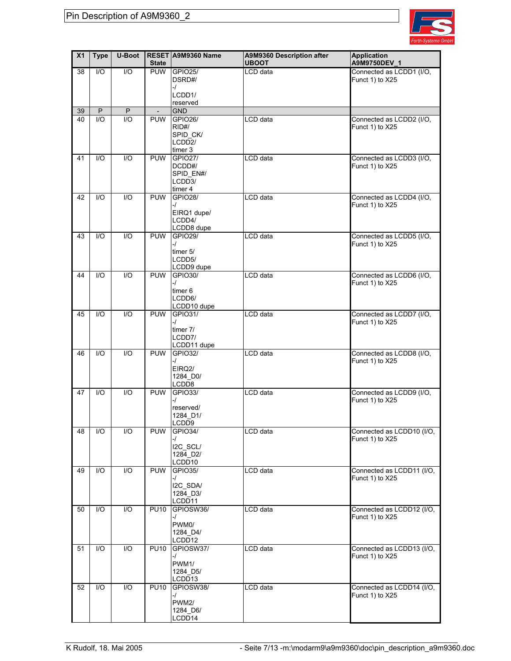

| X <sub>1</sub> | <b>Type</b> | U-Boot                 | <b>State</b>             | RESET A9M9360 Name                                                    | A9M9360 Description after<br><b>UBOOT</b> | <b>Application</b><br>A9M9750DEV_1           |
|----------------|-------------|------------------------|--------------------------|-----------------------------------------------------------------------|-------------------------------------------|----------------------------------------------|
| 38             | 1/O         | I/O                    | <b>PUW</b>               | <b>GPIO25/</b><br>DSRD#/<br>$-1$<br>LCDD1/<br>reserved                | LCD data                                  | Connected as LCDD1 (I/O,<br>Funct 1) to X25  |
| 39             | P           | P                      | $\overline{\phantom{a}}$ | <b>GND</b>                                                            |                                           |                                              |
| 40             | 1/O         | $\mathsf{U}\mathsf{O}$ | <b>PUW</b>               | <b>GPIO26/</b><br>RID#/<br>SPID_CK/<br>LCDD <sub>2</sub> /<br>timer 3 | LCD data                                  | Connected as LCDD2 (I/O,<br>Funct 1) to X25  |
| 41             | 1/O         | I/O                    | <b>PUW</b>               | <b>GPIO27/</b><br>DCDD#/<br>SPID_EN#/<br>LCDD3/<br>timer 4            | LCD data                                  | Connected as LCDD3 (I/O,<br>Funct 1) to X25  |
| 42             | 1/O         | $UO$                   | <b>PUW</b>               | <b>GPIO28/</b><br>$-1$<br>EIRQ1 dupe/<br>LCDD4/<br>LCDD8 dupe         | LCD data                                  | Connected as LCDD4 (I/O,<br>Funct 1) to X25  |
| 43             | 1/O         | $\mathsf{U}\mathsf{O}$ | <b>PUW</b>               | <b>GPIO29/</b><br>$-1$<br>timer 5/<br>LCDD5/<br>LCDD9 dupe            | LCD data                                  | Connected as LCDD5 (I/O,<br>Funct 1) to X25  |
| 44             | 1/O         | 1/O                    | <b>PUW</b>               | <b>GPIO30/</b><br>$-1$<br>timer 6<br>LCDD6/<br>LCDD10 dupe            | LCD data                                  | Connected as LCDD6 (I/O,<br>Funct 1) to X25  |
| 45             | 1/O         | 1/O                    | <b>PUW</b>               | GPIO31/<br>$-1$<br>timer 7/<br>LCDD7/<br>LCDD11 dupe                  | LCD data                                  | Connected as LCDD7 (I/O,<br>Funct 1) to X25  |
| 46             | 1/O         | $1/O$                  | <b>PUW</b>               | <b>GPIO32/</b><br>$-1$<br>EIRQ2/<br>1284_D0/<br>LCD <sub>D</sub> 8    | LCD data                                  | Connected as LCDD8 (I/O,<br>Funct 1) to X25  |
| 47             | I/O         | I/O                    | <b>PUW</b>               | GPIO33/<br>-1<br>reserved/<br>1284 D1/<br>LCD <sub>D9</sub>           | LCD data                                  | Connected as LCDD9 (I/O,<br>Funct 1) to X25  |
| 48             | I/O         | I/O                    | <b>PUW</b>               | <b>GPIO34/</b><br>$-1$<br>I2C_SCL/<br>1284 D2/<br>LCDD <sub>10</sub>  | LCD data                                  | Connected as LCDD10 (I/O,<br>Funct 1) to X25 |
| 49             | I/O         | I/O                    | <b>PUW</b>               | GPIO35/<br>$-1$<br>I2C_SDA/<br>1284 D3/<br>LCDD11                     | LCD data                                  | Connected as LCDD11 (I/O,<br>Funct 1) to X25 |
| 50             | I/O         | I/O                    | <b>PU10</b>              | GPIOSW36/<br>$-1$<br>PWM0/<br>1284 D4/<br>LCDD12                      | LCD data                                  | Connected as LCDD12 (I/O,<br>Funct 1) to X25 |
| 51             | I/O         | I/O                    | <b>PU10</b>              | GPIOSW37/<br>$-I$<br>PWM1/<br>1284 D5/<br>LCDD <sub>13</sub>          | LCD data                                  | Connected as LCDD13 (I/O,<br>Funct 1) to X25 |
| 52             | I/O         | I/O                    | <b>PU10</b>              | GPIOSW38/<br>-/<br>PWM2/<br>1284_D6/<br>LCDD14                        | LCD data                                  | Connected as LCDD14 (I/O,<br>Funct 1) to X25 |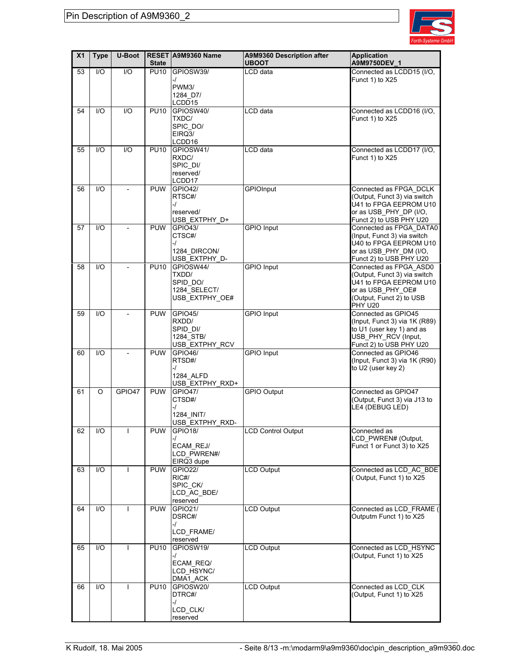

| X <sub>1</sub> | <b>Type</b> | <b>U-Boot</b>  | <b>State</b> | RESET A9M9360 Name            | A9M9360 Description after<br><b>UBOOT</b> | <b>Application</b><br>A9M9750DEV 1                         |
|----------------|-------------|----------------|--------------|-------------------------------|-------------------------------------------|------------------------------------------------------------|
| 53             | 1/O         | $1/O$          | <b>PU10</b>  | GPIOSW39/                     | LCD data                                  | Connected as LCDD15 (I/O,                                  |
|                |             |                |              | -/<br>PWM3/                   |                                           | Funct 1) to X25                                            |
|                |             |                |              | 1284 D7/                      |                                           |                                                            |
| 54             | 1/O         | $UO$           | <b>PU10</b>  | LCDD15<br>GPIOSW40/           | LCD data                                  | Connected as LCDD16 (I/O,                                  |
|                |             |                |              | TXDC/                         |                                           | Funct 1) to X25                                            |
|                |             |                |              | SPIC DO/<br>EIRQ3/            |                                           |                                                            |
|                |             |                |              | LCDD16                        |                                           |                                                            |
| 55             | 1/O         | 1/O            | <b>PU10</b>  | GPIOSW41/<br>RXDC/            | LCD data                                  | Connected as LCDD17 (I/O,<br>Funct 1) to X25               |
|                |             |                |              | SPIC DI/                      |                                           |                                                            |
|                |             |                |              | reserved/<br>LCDD17           |                                           |                                                            |
| 56             | 1/O         |                | <b>PUW</b>   | <b>GPIO42/</b>                | <b>GPIOInput</b>                          | Connected as FPGA DCLK                                     |
|                |             |                |              | RTSC#/<br>-1                  |                                           | (Output, Funct 3) via switch<br>U41 to FPGA EEPROM U10     |
|                |             |                |              | reserved/                     |                                           | or as USB_PHY_DP (I/O,                                     |
|                |             |                |              | USB EXTPHY D+                 |                                           | Funct 2) to USB PHY U20                                    |
| 57             | 1/O         |                | <b>PUW</b>   | GPIO43/<br>CTSC#/             | <b>GPIO</b> Input                         | Connected as FPGA DATA0<br>(Input, Funct 3) via switch     |
|                |             |                |              | -1                            |                                           | U40 to FPGA EEPROM U10                                     |
|                |             |                |              | 1284 DIRCON/<br>USB_EXTPHY_D- |                                           | or as USB PHY DM (I/O,<br>Funct 2) to USB PHY U20          |
| 58             | 1/O         | $\overline{a}$ | <b>PU10</b>  | GPIOSW44/                     | <b>GPIO Input</b>                         | Connected as FPGA_ASD0                                     |
|                |             |                |              | TXDD/<br>SPID_DO/             |                                           | (Output, Funct 3) via switch<br>U41 to FPGA EEPROM U10     |
|                |             |                |              | 1284 SELECT/                  |                                           | or as USB PHY OE#                                          |
|                |             |                |              | USB EXTPHY OE#                |                                           | (Output, Funct 2) to USB<br>PHY U20                        |
| 59             | 1/O         |                | <b>PUW</b>   | <b>GPIO45/</b>                | <b>GPIO</b> Input                         | Connected as GPIO45                                        |
|                |             |                |              | RXDD/<br>SPID DI/             |                                           | (Input, Funct 3) via 1K (R89)<br>to U1 (user key 1) and as |
|                |             |                |              | 1284 STB/                     |                                           | USB_PHY_RCV (Input,                                        |
| 60             | 1/O         |                | <b>PUW</b>   | USB EXTPHY RCV<br>GPIO46/     | <b>GPIO Input</b>                         | Funct 2) to USB PHY U20<br>Connected as GPIO46             |
|                |             |                |              | RTSD#/                        |                                           | (Input, Funct 3) via 1K (R90)                              |
|                |             |                |              | -1<br>1284 ALFD               |                                           | to U2 (user key 2)                                         |
|                |             |                |              | USB EXTPHY RXD+               |                                           |                                                            |
| 61             | O           | GPIO47         | <b>PUW</b>   | <b>GPIO47/</b><br>CTSD#/      | <b>GPIO Output</b>                        | Connected as GPIO47<br>(Output, Funct 3) via J13 to        |
|                |             |                |              | -1                            |                                           | LE4 (DEBUG LED)                                            |
|                |             |                |              | 1284 INIT/<br>USB_EXTPHY_RXD- |                                           |                                                            |
| 62             | I/O         |                | <b>PUW</b>   | GPIO18/                       | <b>LCD Control Output</b>                 | Connected as                                               |
|                |             |                |              | ECAM_REJ/                     |                                           | LCD_PWREN# (Output,<br>Funct 1 or Funct 3) to X25          |
|                |             |                |              | LCD PWREN#/                   |                                           |                                                            |
| 63             | I/O         |                | <b>PUW</b>   | EIRQ3 dupe<br><b>GPIO22/</b>  | <b>LCD Output</b>                         | Connected as LCD_AC_BDE                                    |
|                |             |                |              | RIC#/                         |                                           | (Output, Funct 1) to X25                                   |
|                |             |                |              | SPIC_CK/<br>LCD_AC_BDE/       |                                           |                                                            |
|                |             |                |              | reserved                      |                                           |                                                            |
| 64             | 1/O         | ı              | <b>PUW</b>   | GPIO21/<br>DSRC#/             | <b>LCD Output</b>                         | Connected as LCD_FRAME (<br>Outputm Funct 1) to X25        |
|                |             |                |              | -/                            |                                           |                                                            |
|                |             |                |              | LCD FRAME/                    |                                           |                                                            |
| 65             | 1/O         | $\mathbf{I}$   | <b>PU10</b>  | reserved<br>GPIOSW19/         | <b>LCD Output</b>                         | Connected as LCD_HSYNC                                     |
|                |             |                |              | -/<br>ECAM_REQ/               |                                           | (Output, Funct 1) to X25                                   |
|                |             |                |              | LCD HSYNC/                    |                                           |                                                            |
|                |             | ı              |              | DMA1_ACK                      |                                           |                                                            |
| 66             | I/O         |                | <b>PU10</b>  | GPIOSW20/<br>DTRC#/           | <b>LCD Output</b>                         | Connected as LCD_CLK<br>(Output, Funct 1) to X25           |
|                |             |                |              | -/                            |                                           |                                                            |
|                |             |                |              | LCD_CLK/<br>reserved          |                                           |                                                            |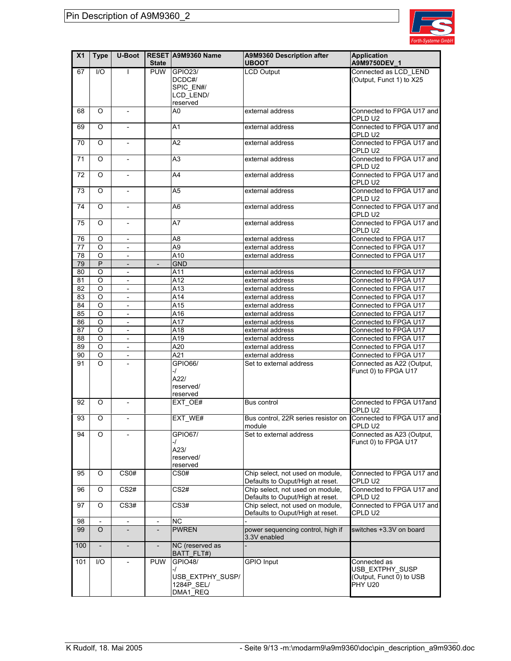

| X <sub>1</sub> | <b>Type</b>              | U-Boot                       | <b>State</b>             | RESET A9M9360 Name                                                 | A9M9360 Description after<br><b>UBOOT</b>                               | <b>Application</b><br>A9M9750DEV_1                                            |
|----------------|--------------------------|------------------------------|--------------------------|--------------------------------------------------------------------|-------------------------------------------------------------------------|-------------------------------------------------------------------------------|
| 67             | $II$                     | $\mathbf{I}$                 | <b>PUW</b>               | <b>GPIO23/</b><br>DCDC#/<br>SPIC EN#/<br>LCD_LEND/<br>reserved     | <b>LCD Output</b>                                                       | Connected as LCD_LEND<br>(Output, Funct 1) to X25                             |
| 68             | $\circ$                  | $\overline{\phantom{a}}$     |                          | A0                                                                 | external address                                                        | Connected to FPGA U17 and<br>CPLD U2                                          |
| 69             | $\Omega$                 | $\overline{\phantom{a}}$     |                          | A1                                                                 | external address                                                        | Connected to FPGA U17 and<br>CPLD U2                                          |
| 70             | $\Omega$                 |                              |                          | A2                                                                 | external address                                                        | Connected to FPGA U17 and<br>CPLD U2                                          |
| 71             | $\Omega$                 | $\overline{\phantom{a}}$     |                          | A3                                                                 | external address                                                        | Connected to FPGA U17 and<br>CPLD U2                                          |
| 72             | O                        | $\overline{\phantom{a}}$     |                          | A4                                                                 | external address                                                        | Connected to FPGA U17 and<br>CPLD U2                                          |
| 73             | O                        | $\overline{\phantom{a}}$     |                          | A5                                                                 | external address                                                        | Connected to FPGA U17 and<br>CPLD U2                                          |
| 74             | $\Omega$                 | $\overline{\phantom{a}}$     |                          | A6                                                                 | external address                                                        | Connected to FPGA U17 and<br>CPLD U2                                          |
| 75             | O                        | $\overline{\phantom{m}}$     |                          | A7                                                                 | external address                                                        | Connected to FPGA U17 and<br>CPLD U2                                          |
| 76             | $\circ$                  | $\overline{\phantom{a}}$     |                          | A8                                                                 | external address                                                        | Connected to FPGA U17                                                         |
| 77             | $\circ$                  | $\blacksquare$               |                          | A9                                                                 | external address                                                        | Connected to FPGA U17                                                         |
| 78             | $\circ$                  | $\overline{\phantom{a}}$     |                          | A10                                                                | external address                                                        | Connected to FPGA U17                                                         |
| 79             | P                        | $\overline{\phantom{a}}$     | $\overline{a}$           | <b>GND</b>                                                         |                                                                         |                                                                               |
| 80             | $\overline{O}$           | $\overline{\phantom{a}}$     |                          | A11                                                                | external address                                                        | Connected to FPGA U17                                                         |
| 81             | O                        | $\overline{\phantom{a}}$     |                          | A12                                                                | external address                                                        | Connected to FPGA U17                                                         |
| 82             | $\circ$                  | $\overline{\phantom{a}}$     |                          | A13                                                                | external address                                                        | Connected to FPGA U17                                                         |
| 83             | $\overline{O}$           | $\mathbb{L}$                 |                          | A14                                                                | external address                                                        | Connected to FPGA U17                                                         |
| 84             | $\circ$                  | $\overline{\phantom{a}}$     |                          | A15                                                                | external address                                                        | Connected to FPGA U17                                                         |
| 85             | $\circ$                  | $\overline{\phantom{a}}$     |                          | A16                                                                | external address                                                        | Connected to FPGA U17                                                         |
| 86             | $\circ$                  | $\mathcal{L}^{\mathcal{A}}$  |                          | A17                                                                | external address                                                        | Connected to FPGA U17                                                         |
| 87             | $\circ$                  | $\overline{\phantom{a}}$     |                          | A18                                                                | external address                                                        | Connected to FPGA U17                                                         |
| 88             | $\circ$                  | $\qquad \qquad \blacksquare$ |                          | A19                                                                | external address                                                        | Connected to FPGA U17                                                         |
| 89             | O                        | $\mathcal{L}^{\mathcal{A}}$  |                          | A20                                                                | external address                                                        | Connected to FPGA U17                                                         |
| 90             | O                        | $\overline{\phantom{a}}$     |                          | A21                                                                | external address                                                        | Connected to FPGA U17                                                         |
| 91             | $\Omega$                 |                              |                          | GPIO66/<br>-/                                                      | Set to external address                                                 | Connected as A22 (Output,<br>Funct 0) to FPGA U17                             |
|                |                          |                              |                          | A22/<br>reserved/<br>reserved                                      |                                                                         |                                                                               |
| 92             | O                        | $\overline{\phantom{a}}$     |                          | EXT OE#                                                            | Bus control                                                             | Connected to FPGA U17and<br>CPLD U2                                           |
| 93             | O                        |                              |                          | EXT WE#                                                            | Bus control, 22R series resistor on Connected to FPGA U17 and<br>module | CPLD U2                                                                       |
| 94             | O                        |                              |                          | GPIO67/<br>-/                                                      | Set to external address                                                 | Connected as A23 (Output,<br>Funct 0) to FPGA U17                             |
|                |                          |                              |                          | A23/                                                               |                                                                         |                                                                               |
|                |                          |                              |                          | reserved/                                                          |                                                                         |                                                                               |
|                |                          |                              |                          | reserved                                                           |                                                                         |                                                                               |
| 95             | O                        | CS <sub>0</sub> #            |                          | CS <sub>0</sub> #                                                  | Chip select, not used on module,<br>Defaults to Ouput/High at reset.    | Connected to FPGA U17 and<br>CPLD U2                                          |
| 96             | O                        | CS2#                         |                          | CS2#                                                               | Chip select, not used on module,<br>Defaults to Ouput/High at reset.    | Connected to FPGA U17 and<br>CPLD U2                                          |
| 97             | O                        | $\overline{CS3#}$            |                          | $\overline{CS3#}$                                                  | Chip select, not used on module,<br>Defaults to Ouput/High at reset.    | Connected to FPGA U17 and<br>CPLD U2                                          |
| 98             | $\overline{\phantom{a}}$ | $\overline{\phantom{a}}$     | $\overline{\phantom{a}}$ | ΝC                                                                 |                                                                         |                                                                               |
| 99             | $\circ$                  |                              |                          | <b>PWREN</b>                                                       | power sequencing control, high if<br>3.3V enabled                       | switches +3.3V on board                                                       |
| 100            |                          | $\qquad \qquad -$            |                          | NC (reserved as<br>BATT_FLT#)                                      |                                                                         |                                                                               |
| 101            | I/O                      |                              | <b>PUW</b>               | <b>GPIO48/</b><br>-/<br>USB EXTPHY SUSP/<br>1284P_SEL/<br>DMA1_REQ | <b>GPIO Input</b>                                                       | Connected as<br>USB_EXTPHY_SUSP<br>(Output, Funct 0) to USB<br><b>PHY U20</b> |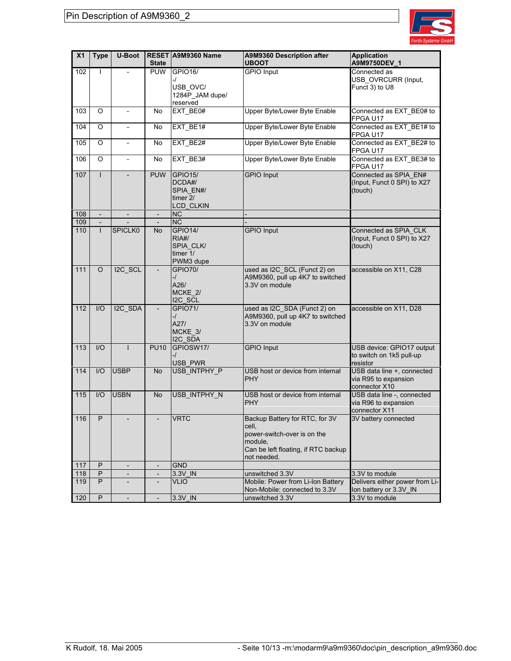

| X <sub>1</sub> | <b>Type</b>              | <b>U-Boot</b>                | <b>State</b>             | RESET A9M9360 Name                                              | A9M9360 Description after<br><b>UBOOT</b>                                                                                               | <b>Application</b><br>A9M9750DEV 1                                  |
|----------------|--------------------------|------------------------------|--------------------------|-----------------------------------------------------------------|-----------------------------------------------------------------------------------------------------------------------------------------|---------------------------------------------------------------------|
| 102            | $\mathbf{I}$             | $\overline{a}$               | <b>PUW</b>               | GPIO16/<br>-/<br>USB OVC/<br>1284P_JAM dupe/<br>reserved        | <b>GPIO Input</b>                                                                                                                       | Connected as<br>USB_OVRCURR (Input,<br>Funct 3) to U8               |
| 103            | O                        | $\qquad \qquad \blacksquare$ | No                       | EXT_BE0#                                                        | <b>Upper Byte/Lower Byte Enable</b>                                                                                                     | Connected as EXT_BE0# to<br>FPGA U17                                |
| 104            | O                        | $\overline{\phantom{a}}$     | No                       | EXT_BE1#                                                        | Upper Byte/Lower Byte Enable                                                                                                            | Connected as EXT_BE1# to<br>FPGA U17                                |
| 105            | O                        | $\overline{\phantom{0}}$     | No                       | EXT_BE2#                                                        | Upper Byte/Lower Byte Enable                                                                                                            | Connected as EXT BE2# to<br>FPGA U17                                |
| 106            | O                        | $\frac{1}{2}$                | No                       | EXT_BE3#                                                        | Upper Byte/Lower Byte Enable                                                                                                            | Connected as EXT_BE3# to<br>FPGA U17                                |
| 107            | $\mathbf{I}$             |                              | <b>PUW</b>               | <b>GPIO15/</b><br>DCDA#/<br>SPIA_EN#/<br>timer 2/<br>LCD_CLKIN  | <b>GPIO Input</b>                                                                                                                       | Connected as SPIA EN#<br>(Input, Funct 0 SPI) to X27<br>(touch)     |
| 108            |                          |                              |                          | <b>NC</b>                                                       |                                                                                                                                         |                                                                     |
| 109            | $\overline{\phantom{a}}$ |                              | $\overline{\phantom{a}}$ | <b>NC</b>                                                       |                                                                                                                                         |                                                                     |
| 110            | $\mathsf{L}$             | <b>SPICLK0</b>               | <b>No</b>                | <b>GPIO14/</b><br>RIA#/<br>SPIA CLK/<br>timer $1/$<br>PWM3 dupe | <b>GPIO Input</b>                                                                                                                       | Connected as SPIA_CLK<br>(Input, Funct 0 SPI) to X27<br>(touch)     |
| 111            | O                        | I2C_SCL                      |                          | <b>GPIO70/</b><br>-/<br>A26/<br>MCKE 2/<br>I2C_SCL              | used as I2C_SCL (Funct 2) on<br>A9M9360, pull up 4K7 to switched<br>3.3V on module                                                      | accessible on X11, C28                                              |
| 112            | I/O                      | I2C_SDA                      |                          | <b>GPIO71/</b><br>$-1$<br>A27/<br>MCKE_3/<br>I2C_SDA            | used as I2C_SDA (Funct 2) on<br>A9M9360, pull up 4K7 to switched<br>3.3V on module                                                      | accessible on X11, D28                                              |
| 113            | I/O                      | $\mathsf{I}$                 | <b>PU10</b>              | GPIOSW17/<br>-/<br><b>USB PWR</b>                               | <b>GPIO Input</b>                                                                                                                       | USB device: GPIO17 output<br>to switch on 1k5 pull-up<br>resistor   |
| 114            | I/O                      | <b>USBP</b>                  | No                       | USB_INTPHY_P                                                    | USB host or device from internal<br>PHY                                                                                                 | USB data line +, connected<br>via R95 to expansion<br>connector X10 |
| 115            | $II$                     | <b>USBN</b>                  | <b>No</b>                | USB_INTPHY_N                                                    | USB host or device from internal<br><b>PHY</b>                                                                                          | USB data line -, connected<br>via R96 to expansion<br>connector X11 |
| 116            | P                        |                              | $\overline{\phantom{a}}$ | <b>VRTC</b>                                                     | Backup Battery for RTC, for 3V<br>cell,<br>power-switch-over is on the<br>module,<br>Can be left floating, if RTC backup<br>not needed. | 3V battery connected                                                |
| 117            | P                        | $\overline{a}$               |                          | <b>GND</b>                                                      |                                                                                                                                         |                                                                     |
| 118            | P                        | $\qquad \qquad \blacksquare$ | $\overline{\phantom{a}}$ | 3.3V IN                                                         | unswitched 3.3V                                                                                                                         | 3.3V to module                                                      |
| 119            | P                        | $\qquad \qquad \blacksquare$ | $\overline{\phantom{a}}$ | <b>VLIO</b>                                                     | Mobile: Power from Li-Ion Battery                                                                                                       | Delivers either power from Li-                                      |
|                |                          |                              |                          |                                                                 | Non-Mobile: connected to 3.3V                                                                                                           | lon battery or 3.3V_IN                                              |
| 120            | P                        | $\overline{a}$               | $\overline{\phantom{a}}$ | 3.3V_IN                                                         | unswitched 3.3V                                                                                                                         | 3.3V to module                                                      |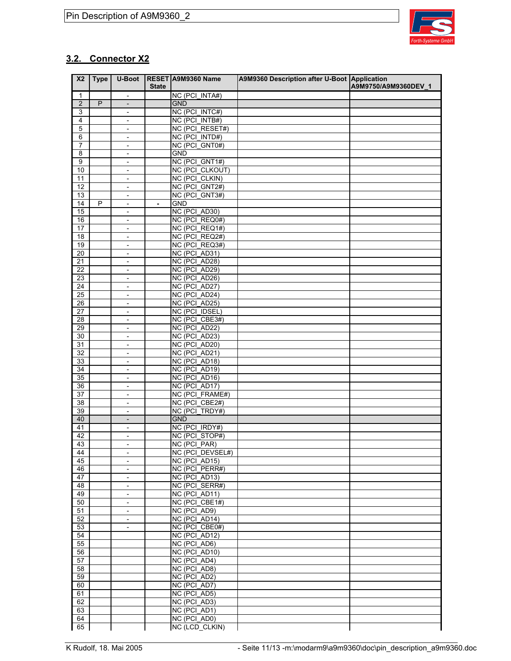

## **3.2. Connector X2**

| X <sub>2</sub>          | <b>Type</b> | U-Boot                                                   | <b>State</b>   | RESET A9M9360 Name                | A9M9360 Description after U-Boot Application | A9M9750/A9M9360DEV 1 |
|-------------------------|-------------|----------------------------------------------------------|----------------|-----------------------------------|----------------------------------------------|----------------------|
| $\mathbf{1}$            |             | $\blacksquare$                                           |                | NC (PCI_INTA#)                    |                                              |                      |
| $\overline{2}$          | P           | $\overline{\phantom{a}}$                                 |                | <b>GND</b>                        |                                              |                      |
| 3                       |             | $\qquad \qquad \blacksquare$                             |                | NC (PCI_INTC#)                    |                                              |                      |
| $\overline{\mathbf{4}}$ |             | $\overline{\phantom{a}}$                                 |                | NC (PCI_INTB#)                    |                                              |                      |
| $\mathbf 5$             |             | $\overline{\phantom{a}}$                                 |                | NC (PCI_RESET#)                   |                                              |                      |
| 6                       |             | $\qquad \qquad \blacksquare$                             |                | NC (PCI_INTD#)                    |                                              |                      |
| $\overline{7}$          |             | $\overline{\phantom{a}}$                                 |                | NC (PCI GNT0#)                    |                                              |                      |
| 8                       |             | $\frac{1}{2}$                                            |                | <b>GND</b>                        |                                              |                      |
| 9                       |             | $\qquad \qquad \blacksquare$                             |                | NC (PCI_GNT1#)                    |                                              |                      |
| 10                      |             | $\overline{\phantom{a}}$                                 |                | NC (PCI_CLKOUT)                   |                                              |                      |
| 11                      |             | $\frac{1}{2}$                                            |                | NC (PCI CLKIN)                    |                                              |                      |
| 12                      |             | $\qquad \qquad \blacksquare$                             |                | NC (PCI GNT2#)                    |                                              |                      |
| 13                      |             | $\overline{\phantom{a}}$                                 |                | NC (PCI GNT3#)                    |                                              |                      |
| 14<br>15                | P           | $\overline{\phantom{a}}$                                 | $\blacksquare$ | <b>GND</b><br>NC (PCI_AD30)       |                                              |                      |
|                         |             | $\qquad \qquad \blacksquare$                             |                | NC (PCI_REQ0#)                    |                                              |                      |
| 16<br>17                |             | $\overline{\phantom{a}}$<br>$\overline{\phantom{a}}$     |                | NC (PCI_REQ1#)                    |                                              |                      |
| 18                      |             | $\overline{\phantom{m}}$                                 |                | NC (PCI_REQ2#)                    |                                              |                      |
| 19                      |             | $\overline{\phantom{a}}$                                 |                | NC (PCI_REQ3#)                    |                                              |                      |
| 20                      |             | $\overline{\phantom{0}}$                                 |                | NC (PCI_AD31)                     |                                              |                      |
| 21                      |             | $\overline{\phantom{m}}$                                 |                | NC (PCI_AD28)                     |                                              |                      |
| 22                      |             | $\overline{\phantom{a}}$                                 |                | NC (PCI_AD29)                     |                                              |                      |
| 23                      |             | $\overline{\phantom{a}}$                                 |                | NC (PCI_AD26)                     |                                              |                      |
| 24                      |             | $\overline{\phantom{m}}$                                 |                | NC (PCI_AD27)                     |                                              |                      |
| $\overline{25}$         |             | $\overline{\phantom{a}}$                                 |                | NC (PCI_AD24)                     |                                              |                      |
| 26                      |             | $\overline{\phantom{a}}$                                 |                | NC (PCI_AD25)                     |                                              |                      |
| 27                      |             | $\overline{\phantom{a}}$                                 |                | NC (PCI_IDSEL)                    |                                              |                      |
| 28                      |             | $\overline{\phantom{a}}$                                 |                | NC (PCI_CBE3#)                    |                                              |                      |
| 29                      |             | $\overline{\phantom{a}}$                                 |                | NC (PCI_AD22)                     |                                              |                      |
| 30                      |             | $\overline{\phantom{0}}$                                 |                | NC (PCI_AD23)                     |                                              |                      |
| 31                      |             | $\overline{\phantom{a}}$                                 |                | NC (PCI_AD20)                     |                                              |                      |
| 32                      |             | $\qquad \qquad \blacksquare$                             |                | NC (PCI_AD21)                     |                                              |                      |
| 33                      |             | $\overline{\phantom{a}}$                                 |                | NC (PCI_AD18)                     |                                              |                      |
| 34                      |             | $\qquad \qquad -$                                        |                | NC (PCI_AD19)                     |                                              |                      |
| 35                      |             | $\qquad \qquad \blacksquare$                             |                | NC (PCI_AD16)                     |                                              |                      |
| 36                      |             | $\equiv$                                                 |                | NC (PCI_AD17)                     |                                              |                      |
| 37                      |             | $\qquad \qquad -$                                        |                | NC (PCI FRAME#)                   |                                              |                      |
| $\overline{38}$         |             | $\qquad \qquad \blacksquare$                             |                | NC (PCI_CBE2#)                    |                                              |                      |
| 39                      |             | $\blacksquare$                                           |                | NC (PCI TRDY#)                    |                                              |                      |
| 40                      |             | $\overline{\phantom{a}}$                                 |                | <b>GND</b>                        |                                              |                      |
| 41                      |             | $\qquad \qquad \blacksquare$                             |                | NC (PCI_IRDY#)                    |                                              |                      |
| 42<br>43                |             | $\overline{\phantom{a}}$                                 |                | NC (PCI_STOP#)                    |                                              |                      |
|                         |             | $\overline{\phantom{a}}$                                 |                | NC (PCI_PAR)                      |                                              |                      |
| 44<br>45                |             | $\qquad \qquad \blacksquare$<br>$\overline{\phantom{a}}$ |                | NC (PCI DEVSEL#)<br>NC (PCI_AD15) |                                              |                      |
| 46                      |             | $\overline{\phantom{a}}$                                 |                | NC (PCI_PERR#)                    |                                              |                      |
| 47                      |             | $\qquad \qquad \blacksquare$                             |                | NC (PCI_AD13)                     |                                              |                      |
| 48                      |             | $\overline{\phantom{a}}$                                 |                | NC (PCI_SERR#)                    |                                              |                      |
| 49                      |             | $\overline{\phantom{a}}$                                 |                | NC (PCI_AD11)                     |                                              |                      |
| 50                      |             | $\qquad \qquad \blacksquare$                             |                | NC (PCI_CBE1#)                    |                                              |                      |
| 51                      |             | $\overline{\phantom{a}}$                                 |                | NC (PCI_AD9)                      |                                              |                      |
| 52                      |             | $\overline{\phantom{a}}$                                 |                | NC (PCI_AD14)                     |                                              |                      |
| 53                      |             | $\qquad \qquad \blacksquare$                             |                | NC (PCI_CBE0#)                    |                                              |                      |
| 54                      |             |                                                          |                | NC (PCI_AD12)                     |                                              |                      |
| 55                      |             |                                                          |                | $\overline{NC}$ (PCI_AD6)         |                                              |                      |
| 56                      |             |                                                          |                | NC (PCI_AD10)                     |                                              |                      |
| 57                      |             |                                                          |                | NC (PCI_AD4)                      |                                              |                      |
| 58                      |             |                                                          |                | NC (PCI_AD8)                      |                                              |                      |
| 59                      |             |                                                          |                | NC (PCI AD2)                      |                                              |                      |
| 60                      |             |                                                          |                | NC (PCI_AD7)                      |                                              |                      |
| 61                      |             |                                                          |                | NC (PCI_AD5)                      |                                              |                      |
| 62                      |             |                                                          |                | NC (PCI_AD3)                      |                                              |                      |
| 63                      |             |                                                          |                | NC (PCI_AD1)                      |                                              |                      |
| 64                      |             |                                                          |                | NC (PCI_AD0)                      |                                              |                      |
| 65                      |             |                                                          |                | NC (LCD_CLKIN)                    |                                              |                      |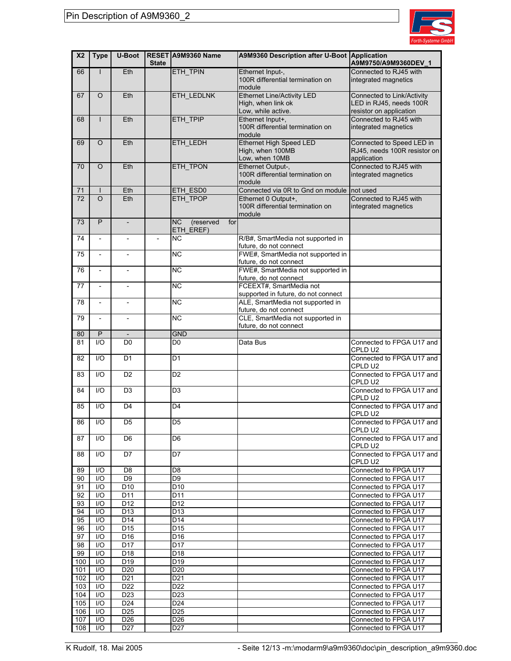

| X <sub>2</sub>  | <b>Type</b>    | <b>U-Boot</b>                      | <b>State</b>             | RESET A9M9360 Name                 | A9M9360 Description after U-Boot Application                | A9M9750/A9M9360DEV_1                           |
|-----------------|----------------|------------------------------------|--------------------------|------------------------------------|-------------------------------------------------------------|------------------------------------------------|
| 66              | L              | Eth                                |                          | ETH_TPIN                           | Ethernet Input-,                                            | Connected to RJ45 with                         |
|                 |                |                                    |                          |                                    | 100R differential termination on<br>module                  | integrated magnetics                           |
| 67              | O              | Eth                                |                          | <b>ETH LEDLNK</b>                  | Ethernet Line/Activity LED                                  | Connected to Link/Activity                     |
|                 |                |                                    |                          |                                    | High, when link ok                                          | LED in RJ45, needs 100R                        |
|                 |                |                                    |                          |                                    | Low, while active.                                          | resistor on application                        |
| 68              | L              | Eth                                |                          | ETH_TPIP                           | Ethernet Input+,                                            | Connected to RJ45 with                         |
|                 |                |                                    |                          |                                    | 100R differential termination on                            | integrated magnetics                           |
|                 |                |                                    |                          |                                    | module                                                      |                                                |
| 69              | $\circ$        | Eth                                |                          | ETH_LEDH                           | <b>Ethernet High Speed LED</b>                              | Connected to Speed LED in                      |
|                 |                |                                    |                          |                                    | High, when 100MB<br>Low, when 10MB                          | RJ45, needs 100R resistor on                   |
| 70              | $\circ$        | Eth                                |                          | ETH_TPON                           | Ethernet Output-,                                           | application<br>Connected to RJ45 with          |
|                 |                |                                    |                          |                                    | 100R differential termination on                            | integrated magnetics                           |
|                 |                |                                    |                          |                                    | module                                                      |                                                |
| 71              |                | Eth                                |                          | ETH_ESD0                           | Connected via 0R to Gnd on module not used                  |                                                |
| $\overline{72}$ | $\Omega$       | Eth                                |                          | ETH_TPOP                           | Ethernet 0 Output+,                                         | Connected to RJ45 with                         |
|                 |                |                                    |                          |                                    | 100R differential termination on                            | integrated magnetics                           |
|                 |                |                                    |                          |                                    | module                                                      |                                                |
| 73              | P              | $\overline{\phantom{a}}$           |                          | <b>NC</b><br>(reserved<br>for      |                                                             |                                                |
|                 |                |                                    |                          | ETH_EREF)                          |                                                             |                                                |
| 74              |                | $\overline{\phantom{a}}$           | $\overline{\phantom{a}}$ | <b>NC</b>                          | R/B#, SmartMedia not supported in<br>future, do not connect |                                                |
| 75              |                |                                    |                          | <b>NC</b>                          | FWE#, SmartMedia not supported in                           |                                                |
|                 |                |                                    |                          |                                    | future, do not connect                                      |                                                |
| 76              | $\overline{a}$ | $\overline{\phantom{a}}$           |                          | <b>NC</b>                          | FWE#, SmartMedia not supported in                           |                                                |
|                 |                |                                    |                          |                                    | future, do not connect                                      |                                                |
| 77              |                | $\overline{\phantom{a}}$           |                          | <b>NC</b>                          | FCEEXT#, SmartMedia not                                     |                                                |
|                 |                |                                    |                          |                                    | supported in future, do not connect                         |                                                |
| 78              |                | $\overline{\phantom{a}}$           |                          | <b>NC</b>                          | ALE, SmartMedia not supported in                            |                                                |
|                 |                |                                    |                          |                                    | future, do not connect                                      |                                                |
| 79              | $\overline{a}$ | $\overline{\phantom{a}}$           |                          | $\overline{NC}$                    | CLE, SmartMedia not supported in                            |                                                |
|                 |                |                                    |                          |                                    | future, do not connect                                      |                                                |
| 80              | P              |                                    |                          | <b>GND</b>                         |                                                             |                                                |
| 81              | 1/O            | D <sub>0</sub>                     |                          | D <sub>0</sub>                     | Data Bus                                                    | Connected to FPGA U17 and<br>CPLD U2           |
| 82              | 1/O            | D <sub>1</sub>                     |                          | D <sub>1</sub>                     |                                                             | Connected to FPGA U17 and                      |
|                 |                |                                    |                          |                                    |                                                             | CPLD U2                                        |
| 83              | 1/O            | D <sub>2</sub>                     |                          | D <sub>2</sub>                     |                                                             | Connected to FPGA U17 and                      |
|                 |                |                                    |                          |                                    |                                                             | CPLD U2                                        |
| 84              | 1/O            | D <sub>3</sub>                     |                          | D <sub>3</sub>                     |                                                             | Connected to FPGA U17 and                      |
|                 |                |                                    |                          |                                    |                                                             | CPLD U2                                        |
| 85              | 1/O            | D <sub>4</sub>                     |                          | D <sub>4</sub>                     |                                                             | Connected to FPGA U17 and                      |
|                 |                |                                    |                          |                                    |                                                             | CPLD U2                                        |
| 86              | I/O            | D <sub>5</sub>                     |                          | $\overline{D5}$                    |                                                             | Connected to FPGA U17 and                      |
| 87              | 1/O            | D <sub>6</sub>                     |                          | D <sub>6</sub>                     |                                                             | CPLD U2<br>Connected to FPGA U17 and           |
|                 |                |                                    |                          |                                    |                                                             | CPLD U2                                        |
| 88              | 1/O            | D7                                 |                          | D7                                 |                                                             | Connected to FPGA U17 and                      |
|                 |                |                                    |                          |                                    |                                                             | CPLD U2                                        |
| 89              | I/O            | D <sub>8</sub>                     |                          | D8                                 |                                                             | Connected to FPGA U17                          |
| 90              | I/O            | D9                                 |                          | D <sub>9</sub>                     |                                                             | Connected to FPGA U17                          |
| 91              | I/O            | D <sub>10</sub>                    |                          | D <sub>10</sub>                    |                                                             | Connected to FPGA U17                          |
| 92              | I/O            | D11                                |                          | D <sub>11</sub>                    |                                                             | Connected to FPGA U17                          |
| 93              | I/O            | D <sub>12</sub>                    |                          | D <sub>12</sub>                    |                                                             | Connected to FPGA U17                          |
| 94              | I/O            | D <sub>13</sub>                    |                          | D <sub>13</sub>                    |                                                             | Connected to FPGA U17                          |
| 95              | I/O            | D <sub>14</sub>                    |                          | D14                                |                                                             | Connected to FPGA U17                          |
| 96              | I/O            | D <sub>15</sub>                    |                          | D <sub>15</sub>                    |                                                             | Connected to FPGA U17                          |
| 97              | I/O            | D <sub>16</sub>                    |                          | D <sub>16</sub>                    |                                                             | Connected to FPGA U17                          |
| 98              | I/O            | D <sub>17</sub>                    |                          | D <sub>17</sub>                    |                                                             | Connected to FPGA U17                          |
| 99              | I/O            | D <sub>18</sub>                    |                          | D <sub>18</sub>                    |                                                             | Connected to FPGA U17                          |
| 100             | I/O            | D <sub>19</sub>                    |                          | D <sub>19</sub>                    |                                                             | Connected to FPGA U17                          |
| 101<br>102      | I/O<br>I/O     | D <sub>20</sub><br>D <sub>21</sub> |                          | D <sub>20</sub><br>D <sub>21</sub> |                                                             | Connected to FPGA U17<br>Connected to FPGA U17 |
| 103             | I/O            | D <sub>22</sub>                    |                          | D <sub>22</sub>                    |                                                             | Connected to FPGA U17                          |
| 104             | I/O            | D <sub>23</sub>                    |                          | D <sub>23</sub>                    |                                                             | Connected to FPGA U17                          |
| 105             | I/O            | D <sub>24</sub>                    |                          | D <sub>24</sub>                    |                                                             | Connected to FPGA U17                          |
| 106             | I/O            | D <sub>25</sub>                    |                          | D <sub>25</sub>                    |                                                             | Connected to FPGA U17                          |
| 107             | I/O            | D <sub>26</sub>                    |                          | D <sub>26</sub>                    |                                                             | Connected to FPGA U17                          |
| 108             | I/O            | D <sub>27</sub>                    |                          | D <sub>27</sub>                    |                                                             | Connected to FPGA U17                          |